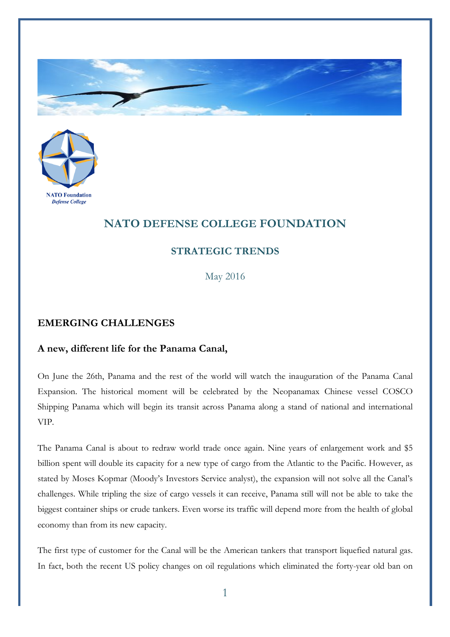



## **NATO DEFENSE COLLEGE FOUNDATION**

## **STRATEGIC TRENDS**

May 2016

## **EMERGING CHALLENGES**

## **A new, different life for the Panama Canal,**

On June the 26th, Panama and the rest of the world will watch the inauguration of the Panama Canal Expansion. The historical moment will be celebrated by the Neopanamax Chinese vessel COSCO Shipping Panama which will begin its transit across Panama along a stand of national and international VIP.

The Panama Canal is about to redraw world trade once again. Nine years of enlargement work and \$5 billion spent will double its capacity for a new type of cargo from the Atlantic to the Pacific. However, as stated by Moses Kopmar (Moody's Investors Service analyst), the expansion will not solve all the Canal's challenges. While tripling the size of cargo vessels it can receive, Panama still will not be able to take the biggest container ships or crude tankers. Even worse its traffic will depend more from the health of global economy than from its new capacity.

The first type of customer for the Canal will be the American tankers that transport liquefied natural gas. In fact, both the recent US policy changes on oil regulations which eliminated the forty-year old ban on